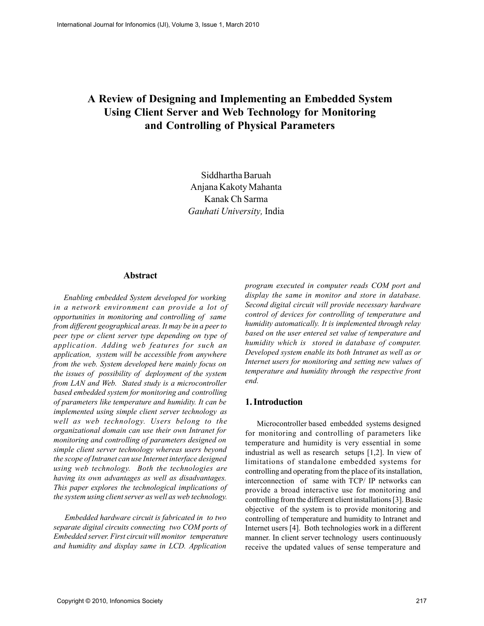# **A Review of Designing and Implementing an Embedded System Using Client Server and Web Technology for Monitoring and Controlling of Physical Parameters**

Siddhartha Baruah Anjana Kakoty Mahanta Kanak Ch Sarma *Gauhati University,* India

#### **Abstract**

 *Enabling embedded System developed for working in a network environment can provide a lot of opportunities in monitoring and controlling of same from different geographical areas. It may be in a peer to peer type or client server type depending on type of application. Adding web features for such an application, system will be accessible from anywhere from the web. System developed here mainly focus on the issues of possibility of deployment of the system from LAN and Web. Stated study is a microcontroller based embedded system for monitoring and controlling of parameters like temperature and humidity. It can be implemented using simple client server technology as well as web technology. Users belong to the organizational domain can use their own Intranet for monitoring and controlling of parameters designed on simple client server technology whereas users beyond the scope of Intranet can use Internet interface designed using web technology. Both the technologies are having its own advantages as well as disadvantages. This paper explores the technological implications of the system using client server as well as web technology.* 

*Embedded hardware circuit is fabricated in to two separate digital circuits connecting two COM ports of Embedded server. First circuit will monitor temperature and humidity and display same in LCD. Application*

*program executed in computer reads COM port and display the same in monitor and store in database. Second digital circuit will provide necessary hardware control of devices for controlling of temperature and humidity automatically. It is implemented through relay based on the user entered set value of temperature and humidity which is stored in database of computer. Developed system enable its both Intranet as well as or Internet users for monitoring and setting new values of temperature and humidity through the respective front end.<br> 1. Introduction<br> 1. Introduction Internet users for monitoring and setting new values of temperature and humidity through the respective front end.*

Microcontroller based embedded systems designed for monitoring and controlling of parameters like temperature and humidity is very essential in some industrial as well as research setups [1,2]. In view of limitations of standalone embedded systems for controlling and operating from the place of its installation, interconnection of same with TCP/ IP networks can provide a broad interactive use for monitoring and controlling from the different client installations [3]. Basic objective of the system is to provide monitoring and controlling of temperature and humidity to Intranet and Internet users [4]. Both technologies work in a different manner. In client server technology users continuously receive the updated values of sense temperature and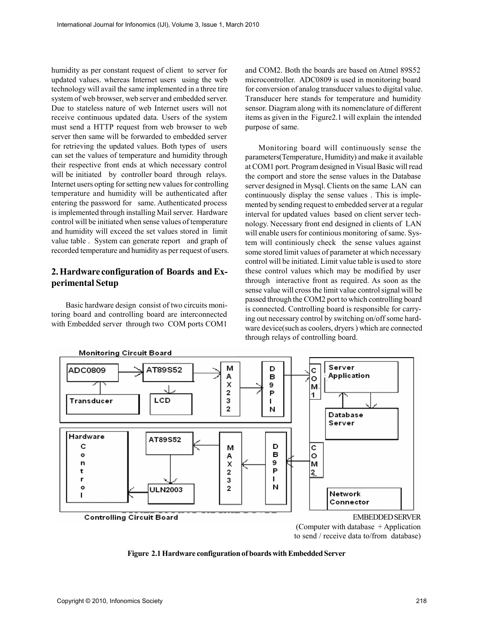humidity as per constant request of client to server for updated values. whereas Internet users using the web technology will avail the same implemented in a three tire system of web browser, web server and embedded server. Due to stateless nature of web Internet users will not receive continuous updated data. Users of the system must send a HTTP request from web browser to web server then same will be forwarded to embedded server for retrieving the updated values. Both types of users can set the values of temperature and humidity through their respective front ends at which necessary control will be initiated by controller board through relays. Internet users opting for setting new values for controlling temperature and humidity will be authenticated after entering the password for same. Authenticated process is implemented through installing Mail server. Hardware **Example 12**<br>
control will be initiated when sense values of temperature<br>
and humidity will exceed the set values stored in limit<br>
value table . System can generate report and graph of<br>
recorded temperature and humidity as and humidity will exceed the set values stored in limit value table . System can generate report and graph of recorded temperature and humidity as per request of users.

# **perimental Setup**

 Basic hardware design consist of two circuits monitoring board and controlling board are interconnected with Embedded server through two COM ports COM1 and COM2. Both the boards are based on Atmel 89S52 microcontroller. ADC0809 is used in monitoring board for conversion of analog transducer values to digital value. Transducer here stands for temperature and humidity sensor. Diagram along with its nomenclature of different items as given in the Figure2.1 will explain the intended purpose of same.

 Monitoring board will continuously sense the parameters(Temperature, Humidity) and make it available at COM1 port. Program designed in Visual Basic will read the comport and store the sense values in the Database server designed in Mysql. Clients on the same LAN can continuously display the sense values . This is implemented by sending request to embedded server at a regular interval for updated values based on client server technology. Necessary front end designed in clients of LAN will enable users for continious monitoring of same. System will continiously check the sense values against some stored limit values of parameter at which necessary control will be initiated. Limit value table is used to store these control values which may be modified by user through interactive front as required. As soon as the sense value will cross the limit value control signal will be passed through the COM2 port to which controlling board is connected. Controlling board is responsible for carrying out necessary control by switching on/off some hardware device(such as coolers, dryers ) which are connected through relays of controlling board.



(Computer with database + Application to send / receive data to/from database)

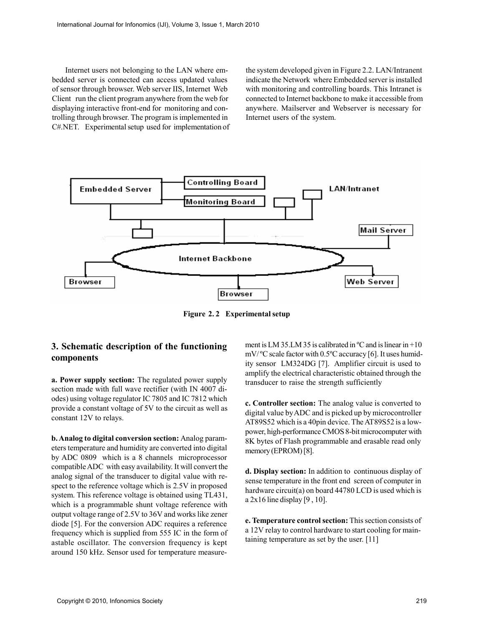Internet users not belonging to the LAN where embedded server is connected can access updated values of sensor through browser. Web server IIS, Internet Web Client run the client program anywhere from the web for displaying interactive front-end for monitoring and controlling through browser. The program is implemented in C#.NET. Experimental setup used for implementation of

the system developed given in Figure 2.2. LAN/Intranent indicate the Network where Embedded server is installed with monitoring and controlling boards. This Intranet is connected to Internet backbone to make it accessible from anywhere. Mailserver and Webserver is necessary for Internet users of the system.



**Figure 2. 2 Experimental setup**

# **3. Schematic description of the functioning components**

**a. Power supply section:** The regulated power supply section made with full wave rectifier (with IN 4007 diodes) using voltage regulator IC 7805 and IC 7812 which provide a constant voltage of 5V to the circuit as well as constant 12V to relays.

**b. Analog to digital conversion section:** Analog parameters temperature and humidity are converted into digital by ADC 0809 which is a 8 channels microprocessor compatible ADC with easy availability. It will convert the analog signal of the transducer to digital value with respect to the reference voltage which is 2.5V in proposed system. This reference voltage is obtained using TL431, which is a programmable shunt voltage reference with output voltage range of 2.5V to 36V and works like zener diode [5]. For the conversion ADC requires a reference frequency which is supplied from 555 IC in the form of astable oscillator. The conversion frequency is kept around 150 kHz. Sensor used for temperature measurement is LM 35.LM 35 is calibrated in  $\rm{^{\circ}C}$  and is linear in +10  $mV$ <sup>o</sup>C scale factor with 0.5<sup>o</sup>C accuracy [6]. It uses humidity sensor LM324DG [7]. Amplifier circuit is used to amplify the electrical characteristic obtained through the transducer to raise the strength sufficiently

**c. Controller section:** The analog value is converted to digital value by ADC and is picked up by microcontroller AT89S52 which is a 40pin device. The AT89S52 is a lowpower, high-performance CMOS 8-bit microcomputer with 8K bytes of Flash programmable and erasable read only memory (EPROM) [8].

**d. Display section:** In addition to continuous display of sense temperature in the front end screen of computer in hardware circuit(a) on board 44780 LCD is used which is a  $2x16$  line display  $[9, 10]$ .

**e. Temperature control section:** This section consists of a 12V relay to control hardware to start cooling for maintaining temperature as set by the user. [11]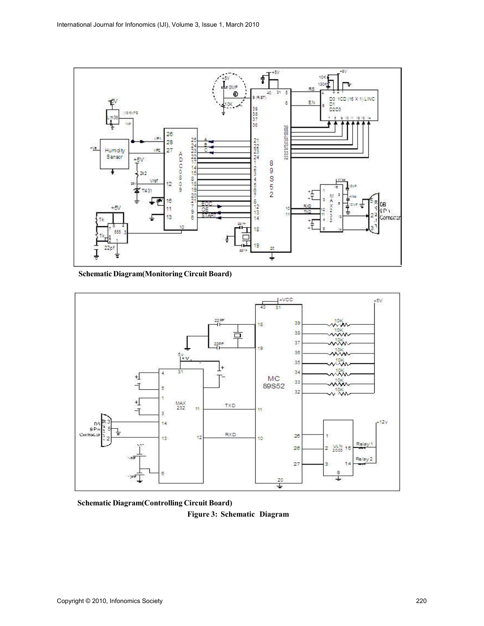

**Schematic Diagram(Monitoring Circuit Board)**



**Schematic Diagram(Controlling Circuit Board)**

**Figure 3: Schematic Diagram**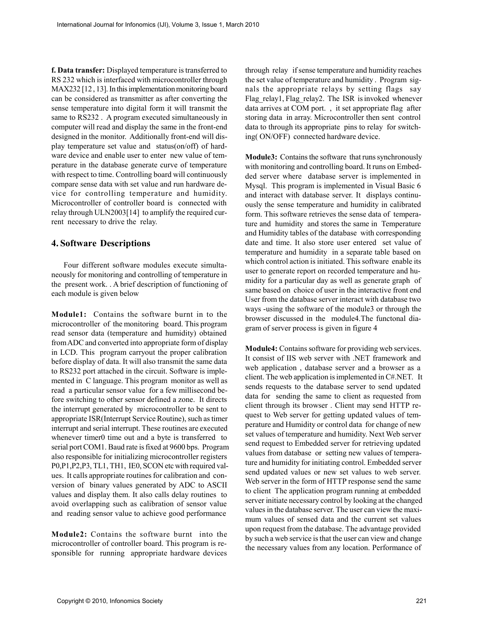**f. Data transfer:** Displayed temperature is transferred to RS 232 which is interfaced with microcontroller through MAX232 [12 , 13]. In this implementation monitoring board can be considered as transmitter as after converting the sense temperature into digital form it will transmit the same to RS232 . A program executed simultaneously in computer will read and display the same in the front-end designed in the monitor. Additionally front-end will display temperature set value and status(on/off) of hardware device and enable user to enter new value of temperature in the database generate curve of temperature with respect to time. Controlling board will continuously compare sense data with set value and run hardware device for controlling temperature and humidity. Microcontroller of controller board is connected with relay through ULN2003[14] to amplify the required current necessary to drive the relay.

#### **4. Software Descriptions**

 Four different software modules execute simultaneously for monitoring and controlling of temperature in the present work. . A brief description of functioning of each module is given below

**Module1:** Contains the software burnt in to the microcontroller of the monitoring board. This program read sensor data (temperature and humidity) obtained from ADC and converted into appropriate form of display in LCD. This program carryout the proper calibration before display of data. It will also transmit the same data to RS232 port attached in the circuit. Software is implemented in C language. This program monitor as well as read a particular sensor value for a few millisecond before switching to other sensor defined a zone. It directs the interrupt generated by microcontroller to be sent to appropriate ISR(Interrupt Service Routine), such as timer interrupt and serial interrupt. These routines are executed whenever timer0 time out and a byte is transferred to serial port COM1. Baud rate is fixed at 9600 bps. Program also responsible for initializing microcontroller registers P0,P1,P2,P3, TL1, TH1, IE0, SCON etc with required values. It calls appropriate routines for calibration and conversion of binary values generated by ADC to ASCII values and display them. It also calls delay routines to avoid overlapping such as calibration of sensor value and reading sensor value to achieve good performance

**Module2:** Contains the software burnt into the microcontroller of controller board. This program is responsible for running appropriate hardware devices through relay if sense temperature and humidity reaches the set value of temperature and humidity . Program signals the appropriate relays by setting flags say Flag\_relay1, Flag\_relay2. The ISR is invoked whenever data arrives at COM port. , it set appropriate flag after storing data in array. Microcontroller then sent control data to through its appropriate pins to relay for switching( ON/OFF) connected hardware device.

**Module3:** Contains the software that runs synchronously with monitoring and controlling board. It runs on Embedded server where database server is implemented in Mysql. This program is implemented in Visual Basic 6 and interact with database server. It displays continuously the sense temperature and humidity in calibrated form. This software retrieves the sense data of temperature and humidity and stores the same in Temperature and Humidity tables of the database with corresponding date and time. It also store user entered set value of temperature and humidity in a separate table based on which control action is initiated. This software enable its user to generate report on recorded temperature and humidity for a particular day as well as generate graph of same based on choice of user in the interactive front end User from the database server interact with database two ways -using the software of the module3 or through the browser discussed in the module4.The functonal diagram of server process is given in figure 4

**Module4:** Contains software for providing web services. It consist of IIS web server with .NET framework and web application , database server and a browser as a client. The web application is implemented in C#.NET. It sends requests to the database server to send updated data for sending the same to client as requested from client through its browser . Client may send HTTP request to Web server for getting updated values of temperature and Humidity or control data for change of new set values of temperature and humidity. Next Web server send request to Embedded server for retrieving updated values from database or setting new values of temperature and humidity for initiating control. Embedded server send updated values or new set values to web server. Web server in the form of HTTP response send the same to client The application program running at embedded server initiate necessary control by looking at the changed values in the database server. The user can view the maximum values of sensed data and the current set values upon request from the database. The advantage provided by such a web service is that the user can view and change the necessary values from any location. Performance of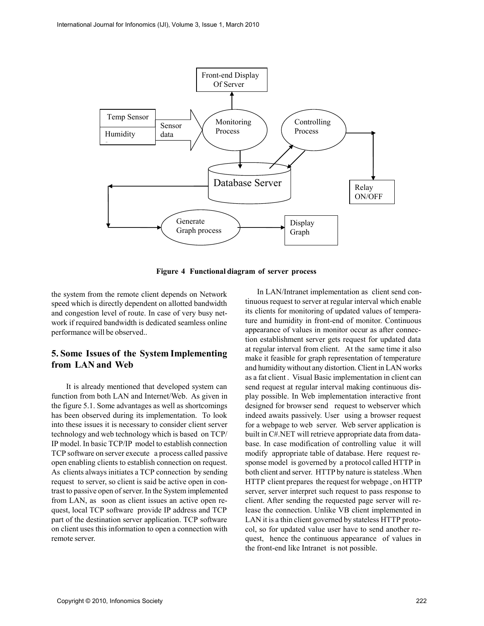

**Figure 4 Functional diagram of server process**

the system from the remote client depends on Network speed which is directly dependent on allotted bandwidth and congestion level of route. In case of very busy network if required bandwidth is dedicated seamless online performance will be observed..

## **5. Some Issues of the System Implementing from LAN and Web**

 It is already mentioned that developed system can function from both LAN and Internet/Web. As given in the figure 5.1. Some advantages as well as shortcomings has been observed during its implementation. To look into these issues it is necessary to consider client server technology and web technology which is based on TCP/ IP model. In basic TCP/IP model to establish connection TCP software on server execute a process called passive open enabling clients to establish connection on request. As clients always initiates a TCP connection by sending request to server, so client is said be active open in contrast to passive open of server. In the System implemented from LAN, as soon as client issues an active open request, local TCP software provide IP address and TCP part of the destination server application. TCP software on client uses this information to open a connection with remote server.

 In LAN/Intranet implementation as client send continuous request to server at regular interval which enable its clients for monitoring of updated values of temperature and humidity in front-end of monitor. Continuous appearance of values in monitor occur as after connection establishment server gets request for updated data at regular interval from client. At the same time it also make it feasible for graph representation of temperature and humidity without any distortion. Client in LAN works as a fat client . Visual Basic implementation in client can send request at regular interval making continuous display possible. In Web implementation interactive front designed for browser send request to webserver which indeed awaits passively. User using a browser request for a webpage to web server. Web server application is built in C#.NET will retrieve appropriate data from database. In case modification of controlling value it will modify appropriate table of database. Here request response model is governed by a protocol called HTTP in both client and server. HTTP by nature is stateless .When HTTP client prepares the request for webpage , on HTTP server, server interpret such request to pass response to client. After sending the requested page server will release the connection. Unlike VB client implemented in LAN it is a thin client governed by stateless HTTP protocol, so for updated value user have to send another request, hence the continuous appearance of values in the front-end like Intranet is not possible.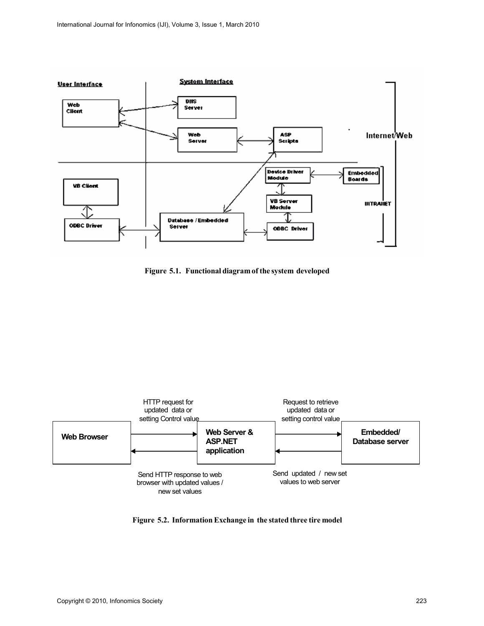

**Figure 5.1. Functional diagram of the system developed**



**Figure 5.2. Information Exchange in the stated three tire model**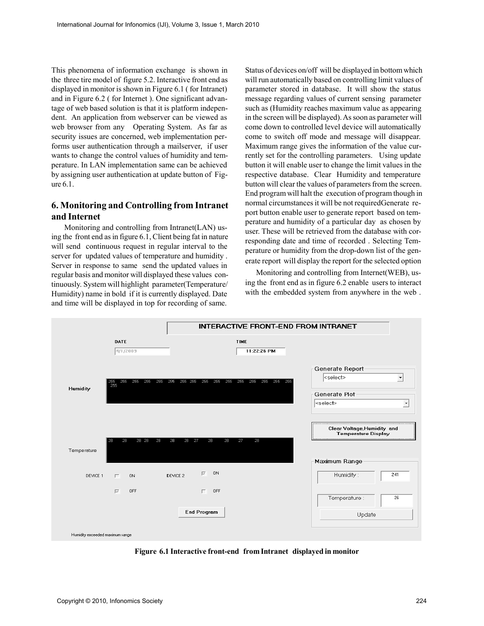This phenomena of information exchange is shown in the three tire model of figure 5.2. Interactive front end as displayed in monitor is shown in Figure 6.1 ( for Intranet) and in Figure 6.2 ( for Internet ). One significant advantage of web based solution is that it is platform independent. An application from webserver can be viewed as web browser from any Operating System. As far as security issues are concerned, web implementation performs user authentication through a mailserver, if user wants to change the control values of humidity and temperature. In LAN implementation same can be achieved by assigning user authentication at update button of Figure 6.1.

# **6. Monitoring and Controlling from Intranet and Internet**

 Monitoring and controlling from Intranet(LAN) using the front end as in figure 6.1, Client being fat in nature will send continuous request in regular interval to the server for updated values of temperature and humidity . Server in response to same send the updated values in regular basis and monitor will displayed these values continuously. System will highlight parameter(Temperature/ Humidity) name in bold if it is currently displayed. Date and time will be displayed in top for recording of same.

Status of devices on/off will be displayed in bottom which will run automatically based on controlling limit values of parameter stored in database. It will show the status message regarding values of current sensing parameter such as (Humidity reaches maximum value as appearing in the screen will be displayed). As soon as parameter will come down to controlled level device will automatically come to switch off mode and message will disappear. Maximum range gives the information of the value currently set for the controlling parameters. Using update button it will enable user to change the limit values in the respective database. Clear Humidity and temperature button will clear the values of parameters from the screen. End program will halt the execution of program though in normal circumstances it will be not requiredGenerate report button enable user to generate report based on temperature and humidity of a particular day as chosen by user. These will be retrieved from the database with corresponding date and time of recorded . Selecting Temperature or humidity from the drop-down list of the generate report will display the report for the selected option

 Monitoring and controlling from Internet(WEB), using the front end as in figure 6.2 enable users to interact with the embedded system from anywhere in the web .



**Figure 6.1 Interactive front-end from Intranet displayed in monitor**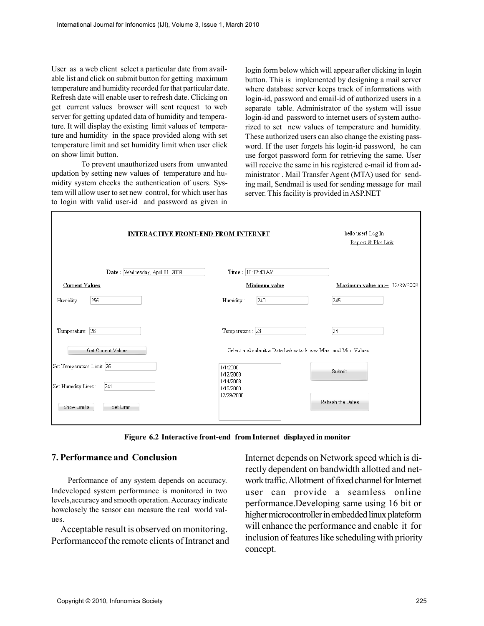User as a web client select a particular date from available list and click on submit button for getting maximum temperature and humidity recorded for that particular date. Refresh date will enable user to refresh date. Clicking on get current values browser will sent request to web server for getting updated data of humidity and temperature. It will display the existing limit values of temperature and humidity in the space provided along with set temperature limit and set humidity limit when user click on show limit button.

 To prevent unauthorized users from unwanted updation by setting new values of temperature and humidity system checks the authentication of users. System will allow user to set new control, for which user has to login with valid user-id and password as given in

login form below which will appear after clicking in login button. This is implemented by designing a mail server where database server keeps track of informations with login-id, password and email-id of authorized users in a separate table. Administrator of the system will issue login-id and password to internet users of system authorized to set new values of temperature and humidity. These authorized users can also change the existing password. If the user forgets his login-id password, he can use forgot password form for retrieving the same. User will receive the same in his registered e-mail id from administrator . Mail Transfer Agent (MTA) used for sending mail, Sendmail is used for sending message for mail server. This facility is provided in ASP.NET

| <b>INTERACTIVE FRONT-END FROM INTERNET</b>              |                                                               | hello user! Log In<br>Report & Plot Link |
|---------------------------------------------------------|---------------------------------------------------------------|------------------------------------------|
| Date: Wednesday, April 01, 2009                         | Time: 10:12:43 AM                                             |                                          |
| <b>Current Values</b>                                   | Minimum value                                                 | Maximum value on:-- 12/29/2008           |
| Humidity:<br>255                                        | 240<br>Humidity:                                              | 245                                      |
| Temperature: 26                                         | Temperature : 23                                              | 24                                       |
| Get Current Values                                      | Select and submit a Date below to know Max, and Min. Values : |                                          |
| Set Temperature Limit: 26<br>Set Humidity Limit:<br>241 | 1/1/2008<br>1/12/2008<br>1/14/2008<br>1/15/2008               | Submit                                   |
| Show Limits<br>Set Limit                                | 12/29/2008                                                    | Refresh the Dates                        |

**Figure 6.2 Interactive front-end from Internet displayed in monitor**

#### **7. Performance and Conclusion**

 Performance of any system depends on accuracy. Indeveloped system performance is monitored in two levels,accuracy and smooth operation. Accuracy indicate howclosely the sensor can measure the real world values.

 Acceptable result is observed on monitoring. Performanceof the remote clients of Intranet and Internet depends on Network speed which is directly dependent on bandwidth allotted and network traffic. Allotment of fixed channel for Internet user can provide a seamless online performance.Developing same using 16 bit or higher microcontroller in embedded linux plateform will enhance the performance and enable it for inclusion of features like scheduling with priority concept.